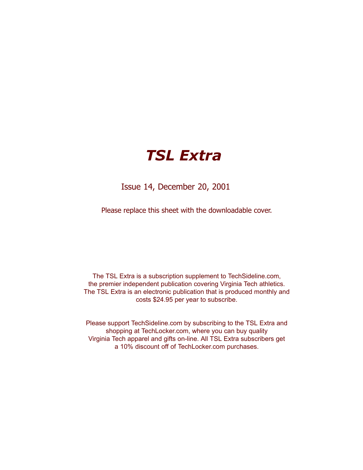# *TSL Extra*

Issue 14, December 20, 2001

Please replace this sheet with the downloadable cover.

The TSL Extra is a subscription supplement to TechSideline.com, the premier independent publication covering Virginia Tech athletics. The TSL Extra is an electronic publication that is produced monthly and costs \$24.95 per year to subscribe.

Please support TechSideline.com by subscribing to the TSL Extra and shopping at TechLocker.com, where you can buy quality Virginia Tech apparel and gifts on-line. All TSL Extra subscribers get a 10% discount off of TechLocker.com purchases.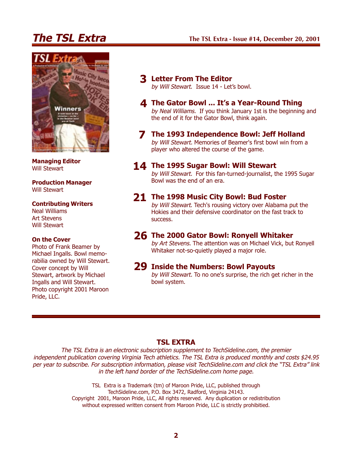## **The TSL Extra**

### **The TSL Extra - Issue #14, December 20, 2001**



**Managing Editor** Will Stewart

**Production Manager** Will Stewart

#### **Contributing Writers**

Neal Williams Art Stevens Will Stewart

#### **On the Cover**

Photo of Frank Beamer by Michael Ingalls. Bowl memorabilia owned by Will Stewart. Cover concept by Will Stewart, artwork by Michael Ingalls and Will Stewart. Photo copyright 2001 Maroon Pride, LLC.

- **Letter From The Editor 3** by Will Stewart. Issue 14 - Let's bowl.
- **The Gator Bowl ... It's a Year-Round Thing 4** by Neal Williams. If you think January 1st is the beginning and the end of it for the Gator Bowl, think again.
- **The 1993 Independence Bowl: Jeff Holland 7** by Will Stewart. Memories of Beamer's first bowl win from a player who altered the course of the game.
- **The 1995 Sugar Bowl: Will Stewart 14**

by Will Stewart. For this fan-turned-journalist, the 1995 Sugar Bowl was the end of an era.

### **The 1998 Music City Bowl: Bud Foster 21**

by Will Stewart. Tech's rousing victory over Alabama put the Hokies and their defensive coordinator on the fast track to success.

### **The 2000 Gator Bowl: Ronyell Whitaker 26**

by Art Stevens. The attention was on Michael Vick, but Ronyell Whitaker not-so-quietly played a major role.

### **Inside the Numbers: Bowl Payouts 29**

by Will Stewart. To no one's surprise, the rich get richer in the bowl system.

### **TSL EXTRA**

The TSL Extra is an electronic subscription supplement to TechSideline.com, the premier independent publication covering Virginia Tech athletics. The TSL Extra is produced monthly and costs \$24.95 per year to subscribe. For subscription information, please visit TechSideline.com and click the "TSL Extra" link in the left hand border of the TechSideline.com home page.

> TSL Extra is a Trademark (tm) of Maroon Pride, LLC, published through TechSideline.com, P.O. Box 3472, Radford, Virginia 24143. Copyright 2001, Maroon Pride, LLC, All rights reserved. Any duplication or redistribution without expressed written consent from Maroon Pride, LLC is strictly prohibitied.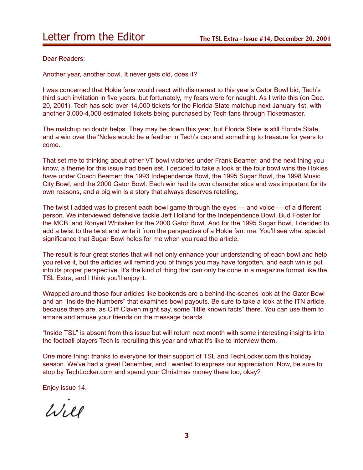Dear Readers:

Another year, another bowl. It never gets old, does it?

I was concerned that Hokie fans would react with disinterest to this year's Gator Bowl bid, Tech's third such invitation in five years, but fortunately, my fears were for naught. As I write this (on Dec. 20, 2001), Tech has sold over 14,000 tickets for the Florida State matchup next January 1st, with another 3,000-4,000 estimated tickets being purchased by Tech fans through Ticketmaster.

The matchup no doubt helps. They may be down this year, but Florida State is still Florida State, and a win over the 'Noles would be a feather in Tech's cap and something to treasure for years to come.

That set me to thinking about other VT bowl victories under Frank Beamer, and the next thing you know, a theme for this issue had been set. I decided to take a look at the four bowl wins the Hokies have under Coach Beamer: the 1993 Independence Bowl, the 1995 Sugar Bowl, the 1998 Music City Bowl, and the 2000 Gator Bowl. Each win had its own characteristics and was important for its own reasons, and a big win is a story that always deserves retelling.

The twist I added was to present each bowl game through the eyes — and voice — of a different person. We interviewed defensive tackle Jeff Holland for the Independence Bowl, Bud Foster for the MCB, and Ronyell Whitaker for the 2000 Gator Bowl. And for the 1995 Sugar Bowl, I decided to add a twist to the twist and write it from the perspective of a Hokie fan: me. You'll see what special significance that Sugar Bowl holds for me when you read the article.

The result is four great stories that will not only enhance your understanding of each bowl and help you relive it, but the articles will remind you of things you may have forgotten, and each win is put into its proper perspective. It's the kind of thing that can only be done in a magazine format like the TSL Extra, and I think you'll enjoy it.

Wrapped around those four articles like bookends are a behind-the-scenes look at the Gator Bowl and an "Inside the Numbers" that examines bowl payouts. Be sure to take a look at the ITN article, because there are, as Cliff Claven might say, some "little known facts" there. You can use them to amaze and amuse your friends on the message boards.

"Inside TSL" is absent from this issue but will return next month with some interesting insights into the football players Tech is recruiting this year and what it's like to interview them.

One more thing: thanks to everyone for their support of TSL and TechLocker.com this holiday season. We've had a great December, and I wanted to express our appreciation. Now, be sure to stop by TechLocker.com and spend your Christmas money there too, okay?

Enjoy issue 14.

 $1/11$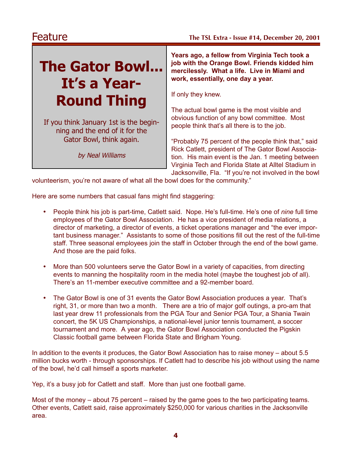# **The Gator Bowl... It's a Year-Round Thing**

If you think January 1st is the beginning and the end of it for the Gator Bowl, think again.

by Neal Williams

**Years ago, a fellow from Virginia Tech took a job with the Orange Bowl. Friends kidded him mercilessly. What a life. Live in Miami and work, essentially, one day a year.**

If only they knew.

The actual bowl game is the most visible and obvious function of any bowl committee. Most people think that's all there is to the job.

"Probably 75 percent of the people think that," said Rick Catlett, president of The Gator Bowl Association. His main event is the Jan. 1 meeting between Virginia Tech and Florida State at Alltel Stadium in Jacksonville, Fla. "If you're not involved in the bowl

volunteerism, you're not aware of what all the bowl does for the community."

Here are some numbers that casual fans might find staggering:

- People think his job is part-time, Catlett said. Nope. He's full-time. He's one of *nine* full time employees of the Gator Bowl Association. He has a vice president of media relations, a director of marketing, a director of events, a ticket operations manager and "the ever important business manager." Assistants to some of those positions fill out the rest of the full-time staff. Three seasonal employees join the staff in October through the end of the bowl game. And those are the paid folks.
- More than 500 volunteers serve the Gator Bowl in a variety of capacities, from directing events to manning the hospitality room in the media hotel (maybe the toughest job of all). There's an 11-member executive committee and a 92-member board.
- The Gator Bowl is one of 31 events the Gator Bowl Association produces a year. That's right, 31, or more than two a month. There are a trio of major golf outings, a pro-am that last year drew 11 professionals from the PGA Tour and Senior PGA Tour, a Shania Twain concert, the 5K US Championships, a national-level junior tennis tournament, a soccer tournament and more. A year ago, the Gator Bowl Association conducted the Pigskin Classic football game between Florida State and Brigham Young.

In addition to the events it produces, the Gator Bowl Association has to raise money – about 5.5 million bucks worth - through sponsorships. If Catlett had to describe his job without using the name of the bowl, he'd call himself a sports marketer.

Yep, it's a busy job for Catlett and staff. More than just one football game.

Most of the money – about 75 percent – raised by the game goes to the two participating teams. Other events, Catlett said, raise approximately \$250,000 for various charities in the Jacksonville area.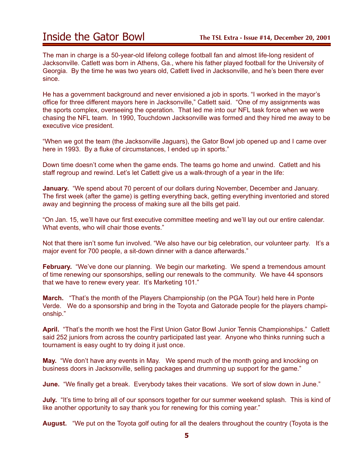The man in charge is a 50-year-old lifelong college football fan and almost life-long resident of Jacksonville. Catlett was born in Athens, Ga., where his father played football for the University of Georgia. By the time he was two years old, Catlett lived in Jacksonville, and he's been there ever since.

He has a government background and never envisioned a job in sports. "I worked in the mayor's office for three different mayors here in Jacksonville," Catlett said. "One of my assignments was the sports complex, overseeing the operation. That led me into our NFL task force when we were chasing the NFL team. In 1990, Touchdown Jacksonville was formed and they hired me away to be executive vice president.

"When we got the team (the Jacksonville Jaguars), the Gator Bowl job opened up and I came over here in 1993. By a fluke of circumstances, I ended up in sports."

Down time doesn't come when the game ends. The teams go home and unwind. Catlett and his staff regroup and rewind. Let's let Catlett give us a walk-through of a year in the life:

**January.** "We spend about 70 percent of our dollars during November, December and January. The first week (after the game) is getting everything back, getting everything inventoried and stored away and beginning the process of making sure all the bills get paid.

"On Jan. 15, we'll have our first executive committee meeting and we'll lay out our entire calendar. What events, who will chair those events."

Not that there isn't some fun involved. "We also have our big celebration, our volunteer party. It's a major event for 700 people, a sit-down dinner with a dance afterwards."

**February.** "We've done our planning. We begin our marketing. We spend a tremendous amount of time renewing our sponsorships, selling our renewals to the community. We have 44 sponsors that we have to renew every year. It's Marketing 101."

**March.** "That's the month of the Players Championship (on the PGA Tour) held here in Ponte Verde. We do a sponsorship and bring in the Toyota and Gatorade people for the players championship."

**April.** "That's the month we host the First Union Gator Bowl Junior Tennis Championships." Catlett said 252 juniors from across the country participated last year. Anyone who thinks running such a tournament is easy ought to try doing it just once.

**May.** "We don't have any events in May. We spend much of the month going and knocking on business doors in Jacksonville, selling packages and drumming up support for the game."

**June.** "We finally get a break. Everybody takes their vacations. We sort of slow down in June."

**July.** "It's time to bring all of our sponsors together for our summer weekend splash. This is kind of like another opportunity to say thank you for renewing for this coming year."

**August.** "We put on the Toyota golf outing for all the dealers throughout the country (Toyota is the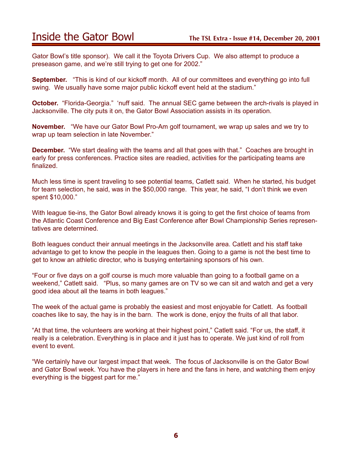## Inside the Gator Bowl **The TSL Extra - Issue #14, December 20, 2001**

Gator Bowl's title sponsor). We call it the Toyota Drivers Cup. We also attempt to produce a preseason game, and we're still trying to get one for 2002."

**September.** "This is kind of our kickoff month. All of our committees and everything go into full swing. We usually have some major public kickoff event held at the stadium."

**October.** "Florida-Georgia." 'nuff said. The annual SEC game between the arch-rivals is played in Jacksonville. The city puts it on, the Gator Bowl Association assists in its operation.

**November.** "We have our Gator Bowl Pro-Am golf tournament, we wrap up sales and we try to wrap up team selection in late November."

**December.** "We start dealing with the teams and all that goes with that." Coaches are brought in early for press conferences. Practice sites are readied, activities for the participating teams are finalized.

Much less time is spent traveling to see potential teams, Catlett said. When he started, his budget for team selection, he said, was in the \$50,000 range. This year, he said, "I don't think we even spent \$10,000."

With league tie-ins, the Gator Bowl already knows it is going to get the first choice of teams from the Atlantic Coast Conference and Big East Conference after Bowl Championship Series representatives are determined.

Both leagues conduct their annual meetings in the Jacksonville area. Catlett and his staff take advantage to get to know the people in the leagues then. Going to a game is not the best time to get to know an athletic director, who is busying entertaining sponsors of his own.

"Four or five days on a golf course is much more valuable than going to a football game on a weekend," Catlett said. "Plus, so many games are on TV so we can sit and watch and get a very good idea about all the teams in both leagues."

The week of the actual game is probably the easiest and most enjoyable for Catlett. As football coaches like to say, the hay is in the barn. The work is done, enjoy the fruits of all that labor.

"At that time, the volunteers are working at their highest point," Catlett said. "For us, the staff, it really is a celebration. Everything is in place and it just has to operate. We just kind of roll from event to event.

"We certainly have our largest impact that week. The focus of Jacksonville is on the Gator Bowl and Gator Bowl week. You have the players in here and the fans in here, and watching them enjoy everything is the biggest part for me."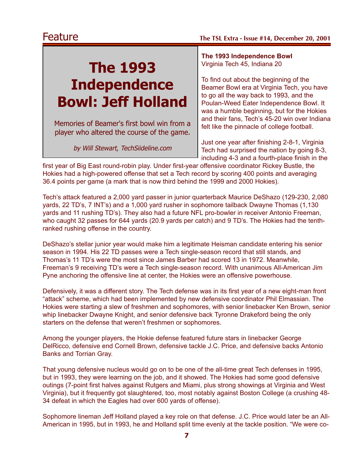# **The 1993 Independence Bowl: Jeff Holland**

Memories of Beamer's first bowl win from a player who altered the course of the game.

by Will Stewart, TechSiideline.com

**The 1993 Independence Bowl** Virginia Tech 45, Indiana 20

To find out about the beginning of the Beamer Bowl era at Virginia Tech, you have to go all the way back to 1993, and the Poulan-Weed Eater Independence Bowl. It was a humble beginning, but for the Hokies and their fans, Tech's 45-20 win over Indiana felt like the pinnacle of college football.

Just one year after finishing 2-8-1, Virginia Tech had surprised the nation by going 8-3, including 4-3 and a fourth-place finish in the

first year of Big East round-robin play. Under first-year offensive coordinator Rickey Bustle, the Hokies had a high-powered offense that set a Tech record by scoring 400 points and averaging 36.4 points per game (a mark that is now third behind the 1999 and 2000 Hokies).

Tech's attack featured a 2,000 yard passer in junior quarterback Maurice DeShazo (129-230, 2,080 yards, 22 TD's, 7 INT's) and a 1,000 yard rusher in sophomore tailback Dwayne Thomas (1,130 yards and 11 rushing TD's). They also had a future NFL pro-bowler in receiver Antonio Freeman, who caught 32 passes for 644 yards (20.9 yards per catch) and 9 TD's. The Hokies had the tenthranked rushing offense in the country.

DeShazo's stellar junior year would make him a legitimate Heisman candidate entering his senior season in 1994. His 22 TD passes were a Tech single-season record that still stands, and Thomas's 11 TD's were the most since James Barber had scored 13 in 1972. Meanwhile, Freeman's 9 receiving TD's were a Tech single-season record. With unanimous All-American Jim Pyne anchoring the offensive line at center, the Hokies were an offensive powerhouse.

Defensively, it was a different story. The Tech defense was in its first year of a new eight-man front "attack" scheme, which had been implemented by new defensive coordinator Phil Elmassian. The Hokies were starting a slew of freshmen and sophomores, with senior linebacker Ken Brown, senior whip linebacker Dwayne Knight, and senior defensive back Tyronne Drakeford being the only starters on the defense that weren't freshmen or sophomores.

Among the younger players, the Hokie defense featured future stars in linebacker George DelRicco, defensive end Cornell Brown, defensive tackle J.C. Price, and defensive backs Antonio Banks and Torrian Gray.

That young defensive nucleus would go on to be one of the all-time great Tech defenses in 1995, but in 1993, they were learning on the job, and it showed. The Hokies had some good defensive outings (7-point first halves against Rutgers and Miami, plus strong showings at Virginia and West Virginia), but it frequently got slaughtered, too, most notably against Boston College (a crushing 48- 34 defeat in which the Eagles had over 600 yards of offense).

Sophomore lineman Jeff Holland played a key role on that defense. J.C. Price would later be an All-American in 1995, but in 1993, he and Holland split time evenly at the tackle position. "We were co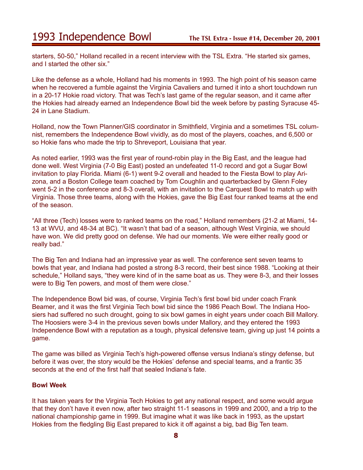starters, 50-50," Holland recalled in a recent interview with the TSL Extra. "He started six games, and I started the other six."

Like the defense as a whole, Holland had his moments in 1993. The high point of his season came when he recovered a fumble against the Virginia Cavaliers and turned it into a short touchdown run in a 20-17 Hokie road victory. That was Tech's last game of the regular season, and it came after the Hokies had already earned an Independence Bowl bid the week before by pasting Syracuse 45- 24 in Lane Stadium.

Holland, now the Town Planner/GIS coordinator in Smithfield, Virginia and a sometimes TSL columnist, remembers the Independence Bowl vividly, as do most of the players, coaches, and 6,500 or so Hokie fans who made the trip to Shreveport, Louisiana that year.

As noted earlier, 1993 was the first year of round-robin play in the Big East, and the league had done well. West Virginia (7-0 Big East) posted an undefeated 11-0 record and got a Sugar Bowl invitation to play Florida. Miami (6-1) went 9-2 overall and headed to the Fiesta Bowl to play Arizona, and a Boston College team coached by Tom Coughlin and quarterbacked by Glenn Foley went 5-2 in the conference and 8-3 overall, with an invitation to the Carquest Bowl to match up with Virginia. Those three teams, along with the Hokies, gave the Big East four ranked teams at the end of the season.

"All three (Tech) losses were to ranked teams on the road," Holland remembers (21-2 at Miami, 14- 13 at WVU, and 48-34 at BC). "It wasn't that bad of a season, although West Virginia, we should have won. We did pretty good on defense. We had our moments. We were either really good or really bad."

The Big Ten and Indiana had an impressive year as well. The conference sent seven teams to bowls that year, and Indiana had posted a strong 8-3 record, their best since 1988. "Looking at their schedule," Holland says, "they were kind of in the same boat as us. They were 8-3, and their losses were to Big Ten powers, and most of them were close."

The Independence Bowl bid was, of course, Virginia Tech's first bowl bid under coach Frank Beamer, and it was the first Virginia Tech bowl bid since the 1986 Peach Bowl. The Indiana Hoosiers had suffered no such drought, going to six bowl games in eight years under coach Bill Mallory. The Hoosiers were 3-4 in the previous seven bowls under Mallory, and they entered the 1993 Independence Bowl with a reputation as a tough, physical defensive team, giving up just 14 points a game.

The game was billed as Virginia Tech's high-powered offense versus Indiana's stingy defense, but before it was over, the story would be the Hokies' defense and special teams, and a frantic 35 seconds at the end of the first half that sealed Indiana's fate.

#### **Bowl Week**

It has taken years for the Virginia Tech Hokies to get any national respect, and some would argue that they don't have it even now, after two straight 11-1 seasons in 1999 and 2000, and a trip to the national championship game in 1999. But imagine what it was like back in 1993, as the upstart Hokies from the fledgling Big East prepared to kick it off against a big, bad Big Ten team.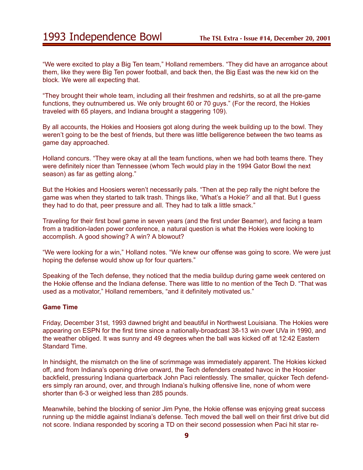"We were excited to play a Big Ten team," Holland remembers. "They did have an arrogance about them, like they were Big Ten power football, and back then, the Big East was the new kid on the block. We were all expecting that.

"They brought their whole team, including all their freshmen and redshirts, so at all the pre-game functions, they outnumbered us. We only brought 60 or 70 guys." (For the record, the Hokies traveled with 65 players, and Indiana brought a staggering 109).

By all accounts, the Hokies and Hoosiers got along during the week building up to the bowl. They weren't going to be the best of friends, but there was little belligerence between the two teams as game day approached.

Holland concurs. "They were okay at all the team functions, when we had both teams there. They were definitely nicer than Tennessee (whom Tech would play in the 1994 Gator Bowl the next season) as far as getting along."

But the Hokies and Hoosiers weren't necessarily pals. "Then at the pep rally the night before the game was when they started to talk trash. Things like, 'What's a Hokie?' and all that. But I guess they had to do that, peer pressure and all. They had to talk a little smack."

Traveling for their first bowl game in seven years (and the first under Beamer), and facing a team from a tradition-laden power conference, a natural question is what the Hokies were looking to accomplish. A good showing? A win? A blowout?

"We were looking for a win," Holland notes. "We knew our offense was going to score. We were just hoping the defense would show up for four quarters."

Speaking of the Tech defense, they noticed that the media buildup during game week centered on the Hokie offense and the Indiana defense. There was little to no mention of the Tech D. "That was used as a motivator," Holland remembers, "and it definitely motivated us."

### **Game Time**

Friday, December 31st, 1993 dawned bright and beautiful in Northwest Louisiana. The Hokies were appearing on ESPN for the first time since a nationally-broadcast 38-13 win over UVa in 1990, and the weather obliged. It was sunny and 49 degrees when the ball was kicked off at 12:42 Eastern Standard Time.

In hindsight, the mismatch on the line of scrimmage was immediately apparent. The Hokies kicked off, and from Indiana's opening drive onward, the Tech defenders created havoc in the Hoosier backfield, pressuring Indiana quarterback John Paci relentlessly. The smaller, quicker Tech defenders simply ran around, over, and through Indiana's hulking offensive line, none of whom were shorter than 6-3 or weighed less than 285 pounds.

Meanwhile, behind the blocking of senior Jim Pyne, the Hokie offense was enjoying great success running up the middle against Indiana's defense. Tech moved the ball well on their first drive but did not score. Indiana responded by scoring a TD on their second possession when Paci hit star re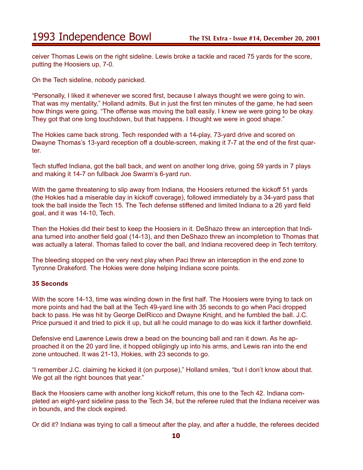ceiver Thomas Lewis on the right sideline. Lewis broke a tackle and raced 75 yards for the score, putting the Hoosiers up, 7-0.

On the Tech sideline, nobody panicked.

"Personally, I liked it whenever we scored first, because I always thought we were going to win. That was my mentality," Holland admits. But in just the first ten minutes of the game, he had seen how things were going. "The offense was moving the ball easily. I knew we were going to be okay. They got that one long touchdown, but that happens. I thought we were in good shape."

The Hokies came back strong. Tech responded with a 14-play, 73-yard drive and scored on Dwayne Thomas's 13-yard reception off a double-screen, making it 7-7 at the end of the first quarter.

Tech stuffed Indiana, got the ball back, and went on another long drive, going 59 yards in 7 plays and making it 14-7 on fullback Joe Swarm's 6-yard run.

With the game threatening to slip away from Indiana, the Hoosiers returned the kickoff 51 yards (the Hokies had a miserable day in kickoff coverage), followed immediately by a 34-yard pass that took the ball inside the Tech 15. The Tech defense stiffened and limited Indiana to a 26 yard field goal, and it was 14-10, Tech.

Then the Hokies did their best to keep the Hoosiers in it. DeShazo threw an interception that Indiana turned into another field goal (14-13), and then DeShazo threw an incompletion to Thomas that was actually a lateral. Thomas failed to cover the ball, and Indiana recovered deep in Tech territory.

The bleeding stopped on the very next play when Paci threw an interception in the end zone to Tyronne Drakeford. The Hokies were done helping Indiana score points.

#### **35 Seconds**

With the score 14-13, time was winding down in the first half. The Hoosiers were trying to tack on more points and had the ball at the Tech 49-yard line with 35 seconds to go when Paci dropped back to pass. He was hit by George DelRicco and Dwayne Knight, and he fumbled the ball. J.C. Price pursued it and tried to pick it up, but all he could manage to do was kick it farther downfield.

Defensive end Lawrence Lewis drew a bead on the bouncing ball and ran it down. As he approached it on the 20 yard line, it hopped obligingly up into his arms, and Lewis ran into the end zone untouched. It was 21-13, Hokies, with 23 seconds to go.

"I remember J.C. claiming he kicked it (on purpose)," Holland smiles, "but I don't know about that. We got all the right bounces that year."

Back the Hoosiers came with another long kickoff return, this one to the Tech 42. Indiana completed an eight-yard sideline pass to the Tech 34, but the referee ruled that the Indiana receiver was in bounds, and the clock expired.

Or did it? Indiana was trying to call a timeout after the play, and after a huddle, the referees decided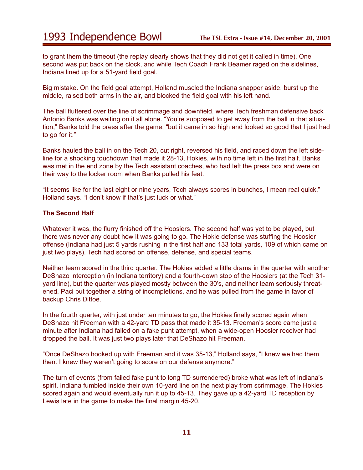to grant them the timeout (the replay clearly shows that they did not get it called in time). One second was put back on the clock, and while Tech Coach Frank Beamer raged on the sidelines, Indiana lined up for a 51-yard field goal.

Big mistake. On the field goal attempt, Holland muscled the Indiana snapper aside, burst up the middle, raised both arms in the air, and blocked the field goal with his left hand.

The ball fluttered over the line of scrimmage and downfield, where Tech freshman defensive back Antonio Banks was waiting on it all alone. "You're supposed to get away from the ball in that situation," Banks told the press after the game, "but it came in so high and looked so good that I just had to go for it."

Banks hauled the ball in on the Tech 20, cut right, reversed his field, and raced down the left sideline for a shocking touchdown that made it 28-13, Hokies, with no time left in the first half. Banks was met in the end zone by the Tech assistant coaches, who had left the press box and were on their way to the locker room when Banks pulled his feat.

"It seems like for the last eight or nine years, Tech always scores in bunches, I mean real quick," Holland says. "I don't know if that's just luck or what."

#### **The Second Half**

Whatever it was, the flurry finished off the Hoosiers. The second half was yet to be played, but there was never any doubt how it was going to go. The Hokie defense was stuffing the Hoosier offense (Indiana had just 5 yards rushing in the first half and 133 total yards, 109 of which came on just two plays). Tech had scored on offense, defense, and special teams.

Neither team scored in the third quarter. The Hokies added a little drama in the quarter with another DeShazo interception (in Indiana territory) and a fourth-down stop of the Hoosiers (at the Tech 31 yard line), but the quarter was played mostly between the 30's, and neither team seriously threatened. Paci put together a string of incompletions, and he was pulled from the game in favor of backup Chris Dittoe.

In the fourth quarter, with just under ten minutes to go, the Hokies finally scored again when DeShazo hit Freeman with a 42-yard TD pass that made it 35-13. Freeman's score came just a minute after Indiana had failed on a fake punt attempt, when a wide-open Hoosier receiver had dropped the ball. It was just two plays later that DeShazo hit Freeman.

"Once DeShazo hooked up with Freeman and it was 35-13," Holland says, "I knew we had them then. I knew they weren't going to score on our defense anymore."

The turn of events (from failed fake punt to long TD surrendered) broke what was left of Indiana's spirit. Indiana fumbled inside their own 10-yard line on the next play from scrimmage. The Hokies scored again and would eventually run it up to 45-13. They gave up a 42-yard TD reception by Lewis late in the game to make the final margin 45-20.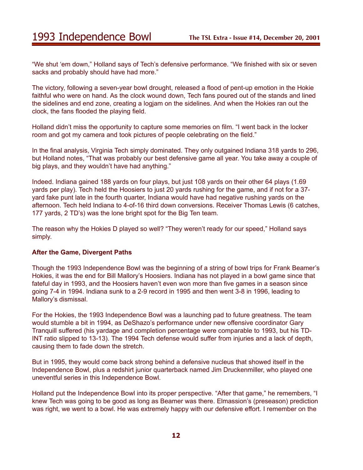"We shut 'em down," Holland says of Tech's defensive performance. "We finished with six or seven sacks and probably should have had more."

The victory, following a seven-year bowl drought, released a flood of pent-up emotion in the Hokie faithful who were on hand. As the clock wound down, Tech fans poured out of the stands and lined the sidelines and end zone, creating a logjam on the sidelines. And when the Hokies ran out the clock, the fans flooded the playing field.

Holland didn't miss the opportunity to capture some memories on film. "I went back in the locker room and got my camera and took pictures of people celebrating on the field."

In the final analysis, Virginia Tech simply dominated. They only outgained Indiana 318 yards to 296, but Holland notes, "That was probably our best defensive game all year. You take away a couple of big plays, and they wouldn't have had anything."

Indeed. Indiana gained 188 yards on four plays, but just 108 yards on their other 64 plays (1.69 yards per play). Tech held the Hoosiers to just 20 yards rushing for the game, and if not for a 37 yard fake punt late in the fourth quarter, Indiana would have had negative rushing yards on the afternoon. Tech held Indiana to 4-of-16 third down conversions. Receiver Thomas Lewis (6 catches, 177 yards, 2 TD's) was the lone bright spot for the Big Ten team.

The reason why the Hokies D played so well? "They weren't ready for our speed," Holland says simply.

#### **After the Game, Divergent Paths**

Though the 1993 Independence Bowl was the beginning of a string of bowl trips for Frank Beamer's Hokies, it was the end for Bill Mallory's Hoosiers. Indiana has not played in a bowl game since that fateful day in 1993, and the Hoosiers haven't even won more than five games in a season since going 7-4 in 1994. Indiana sunk to a 2-9 record in 1995 and then went 3-8 in 1996, leading to Mallory's dismissal.

For the Hokies, the 1993 Independence Bowl was a launching pad to future greatness. The team would stumble a bit in 1994, as DeShazo's performance under new offensive coordinator Gary Tranquill suffered (his yardage and completion percentage were comparable to 1993, but his TD-INT ratio slipped to 13-13). The 1994 Tech defense would suffer from injuries and a lack of depth, causing them to fade down the stretch.

But in 1995, they would come back strong behind a defensive nucleus that showed itself in the Independence Bowl, plus a redshirt junior quarterback named Jim Druckenmiller, who played one uneventful series in this Independence Bowl.

Holland put the Independence Bowl into its proper perspective. "After that game," he remembers, "I knew Tech was going to be good as long as Beamer was there. Elmassion's (preseason) prediction was right, we went to a bowl. He was extremely happy with our defensive effort. I remember on the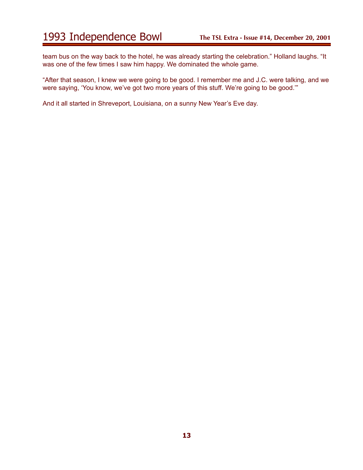team bus on the way back to the hotel, he was already starting the celebration." Holland laughs. "It was one of the few times I saw him happy. We dominated the whole game.

"After that season, I knew we were going to be good. I remember me and J.C. were talking, and we were saying, 'You know, we've got two more years of this stuff. We're going to be good.'"

And it all started in Shreveport, Louisiana, on a sunny New Year's Eve day.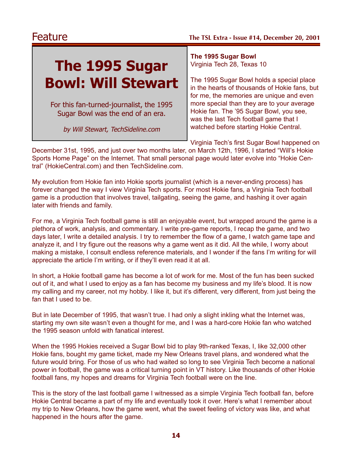# **The 1995 Sugar Bowl: Will Stewart**

For this fan-turned-journalist, the 1995 Sugar Bowl was the end of an era.

by Will Stewart, TechSideline.com

**The 1995 Sugar Bowl** Virginia Tech 28, Texas 10

The 1995 Sugar Bowl holds a special place in the hearts of thousands of Hokie fans, but for me, the memories are unique and even more special than they are to your average Hokie fan. The '95 Sugar Bowl, you see, was the last Tech football game that I watched before starting Hokie Central.

Virginia Tech's first Sugar Bowl happened on

December 31st, 1995, and just over two months later, on March 12th, 1996, I started "Will's Hokie Sports Home Page" on the Internet. That small personal page would later evolve into "Hokie Central" (HokieCentral.com) and then TechSideline.com.

My evolution from Hokie fan into Hokie sports journalist (which is a never-ending process) has forever changed the way I view Virginia Tech sports. For most Hokie fans, a Virginia Tech football game is a production that involves travel, tailgating, seeing the game, and hashing it over again later with friends and family.

For me, a Virginia Tech football game is still an enjoyable event, but wrapped around the game is a plethora of work, analysis, and commentary. I write pre-game reports, I recap the game, and two days later, I write a detailed analysis. I try to remember the flow of a game, I watch game tape and analyze it, and I try figure out the reasons why a game went as it did. All the while, I worry about making a mistake, I consult endless reference materials, and I wonder if the fans I'm writing for will appreciate the article I'm writing, or if they'll even read it at all.

In short, a Hokie football game has become a lot of work for me. Most of the fun has been sucked out of it, and what I used to enjoy as a fan has become my business and my life's blood. It is now my calling and my career, not my hobby. I like it, but it's different, very different, from just being the fan that I used to be.

But in late December of 1995, that wasn't true. I had only a slight inkling what the Internet was, starting my own site wasn't even a thought for me, and I was a hard-core Hokie fan who watched the 1995 season unfold with fanatical interest.

When the 1995 Hokies received a Sugar Bowl bid to play 9th-ranked Texas, I, like 32,000 other Hokie fans, bought my game ticket, made my New Orleans travel plans, and wondered what the future would bring. For those of us who had waited so long to see Virginia Tech become a national power in football, the game was a critical turning point in VT history. Like thousands of other Hokie football fans, my hopes and dreams for Virginia Tech football were on the line.

This is the story of the last football game I witnessed as a simple Virginia Tech football fan, before Hokie Central became a part of my life and eventually took it over. Here's what I remember about my trip to New Orleans, how the game went, what the sweet feeling of victory was like, and what happened in the hours after the game.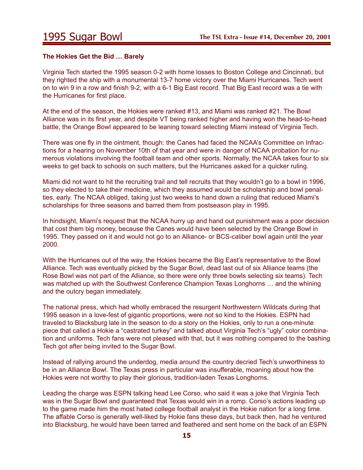#### **The Hokies Get the Bid … Barely**

Virginia Tech started the 1995 season 0-2 with home losses to Boston College and Cincinnati, but they righted the ship with a monumental 13-7 home victory over the Miami Hurricanes. Tech went on to win 9 in a row and finish 9-2, with a 6-1 Big East record. That Big East record was a tie with the Hurricanes for first place.

At the end of the season, the Hokies were ranked #13, and Miami was ranked #21. The Bowl Alliance was in its first year, and despite VT being ranked higher and having won the head-to-head battle, the Orange Bowl appeared to be leaning toward selecting Miami instead of Virginia Tech.

There was one fly in the ointment, though: the Canes had faced the NCAA's Committee on Infractions for a hearing on November 10th of that year and were in danger of NCAA probation for numerous violations involving the football team and other sports. Normally, the NCAA takes four to six weeks to get back to schools on such matters, but the Hurricanes asked for a quicker ruling.

Miami did not want to hit the recruiting trail and tell recruits that they wouldn't go to a bowl in 1996, so they elected to take their medicine, which they assumed would be scholarship and bowl penalties, early. The NCAA obliged, taking just two weeks to hand down a ruling that reduced Miami's scholarships for three seasons and barred them from postseason play in 1995.

In hindsight, Miami's request that the NCAA hurry up and hand out punishment was a poor decision that cost them big money, because the Canes would have been selected by the Orange Bowl in 1995. They passed on it and would not go to an Alliance- or BCS-caliber bowl again until the year 2000.

With the Hurricanes out of the way, the Hokies became the Big East's representative to the Bowl Alliance. Tech was eventually picked by the Sugar Bowl, dead last out of six Alliance teams (the Rose Bowl was not part of the Alliance, so there were only three bowls selecting six teams). Tech was matched up with the Southwest Conference Champion Texas Longhorns … and the whining and the outcry began immediately.

The national press, which had wholly embraced the resurgent Northwestern Wildcats during that 1995 season in a love-fest of gigantic proportions, were not so kind to the Hokies. ESPN had traveled to Blacksburg late in the season to do a story on the Hokies, only to run a one-minute piece that called a Hokie a "castrated turkey" and talked about Virginia Tech's "ugly" color combination and uniforms. Tech fans were not pleased with that, but it was nothing compared to the bashing Tech got after being invited to the Sugar Bowl.

Instead of rallying around the underdog, media around the country decried Tech's unworthiness to be in an Alliance Bowl. The Texas press in particular was insufferable, moaning about how the Hokies were not worthy to play their glorious, tradition-laden Texas Longhorns.

Leading the charge was ESPN talking head Lee Corso, who said it was a joke that Virginia Tech was in the Sugar Bowl and guaranteed that Texas would win in a romp. Corso's actions leading up to the game made him the most hated college football analyst in the Hokie nation for a long time. The affable Corso is generally well-liked by Hokie fans these days, but back then, had he ventured into Blacksburg, he would have been tarred and feathered and sent home on the back of an ESPN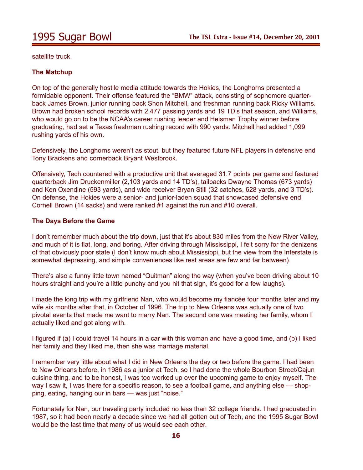satellite truck.

### **The Matchup**

On top of the generally hostile media attitude towards the Hokies, the Longhorns presented a formidable opponent. Their offense featured the "BMW" attack, consisting of sophomore quarterback James Brown, junior running back Shon Mitchell, and freshman running back Ricky Williams. Brown had broken school records with 2,477 passing yards and 19 TD's that season, and Williams, who would go on to be the NCAA's career rushing leader and Heisman Trophy winner before graduating, had set a Texas freshman rushing record with 990 yards. Mitchell had added 1,099 rushing yards of his own.

Defensively, the Longhorns weren't as stout, but they featured future NFL players in defensive end Tony Brackens and cornerback Bryant Westbrook.

Offensively, Tech countered with a productive unit that averaged 31.7 points per game and featured quarterback Jim Druckenmiller (2,103 yards and 14 TD's), tailbacks Dwayne Thomas (673 yards) and Ken Oxendine (593 yards), and wide receiver Bryan Still (32 catches, 628 yards, and 3 TD's). On defense, the Hokies were a senior- and junior-laden squad that showcased defensive end Cornell Brown (14 sacks) and were ranked #1 against the run and #10 overall.

#### **The Days Before the Game**

I don't remember much about the trip down, just that it's about 830 miles from the New River Valley, and much of it is flat, long, and boring. After driving through Mississippi, I felt sorry for the denizens of that obviously poor state (I don't know much about Mississippi, but the view from the Interstate is somewhat depressing, and simple conveniences like rest areas are few and far between).

There's also a funny little town named "Quitman" along the way (when you've been driving about 10 hours straight and you're a little punchy and you hit that sign, it's good for a few laughs).

I made the long trip with my girlfriend Nan, who would become my fiancée four months later and my wife six months after that, in October of 1996. The trip to New Orleans was actually one of two pivotal events that made me want to marry Nan. The second one was meeting her family, whom I actually liked and got along with.

I figured if (a) I could travel 14 hours in a car with this woman and have a good time, and (b) I liked her family and they liked me, then she was marriage material.

I remember very little about what I did in New Orleans the day or two before the game. I had been to New Orleans before, in 1986 as a junior at Tech, so I had done the whole Bourbon Street/Cajun cuisine thing, and to be honest, I was too worked up over the upcoming game to enjoy myself. The way I saw it, I was there for a specific reason, to see a football game, and anything else — shopping, eating, hanging our in bars — was just "noise."

Fortunately for Nan, our traveling party included no less than 32 college friends. I had graduated in 1987, so it had been nearly a decade since we had all gotten out of Tech, and the 1995 Sugar Bowl would be the last time that many of us would see each other.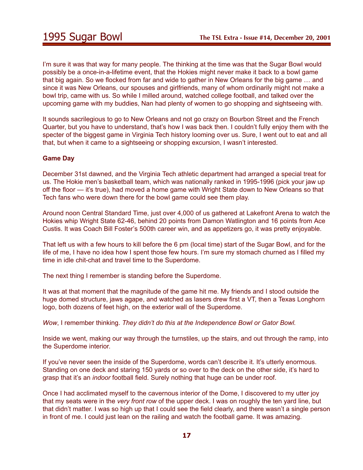I'm sure it was that way for many people. The thinking at the time was that the Sugar Bowl would possibly be a once-in-a-lifetime event, that the Hokies might never make it back to a bowl game that big again. So we flocked from far and wide to gather in New Orleans for the big game … and since it was New Orleans, our spouses and girlfriends, many of whom ordinarily might not make a bowl trip, came with us. So while I milled around, watched college football, and talked over the upcoming game with my buddies, Nan had plenty of women to go shopping and sightseeing with.

It sounds sacrilegious to go to New Orleans and not go crazy on Bourbon Street and the French Quarter, but you have to understand, that's how I was back then. I couldn't fully enjoy them with the specter of the biggest game in Virginia Tech history looming over us. Sure, I went out to eat and all that, but when it came to a sightseeing or shopping excursion, I wasn't interested.

### **Game Day**

December 31st dawned, and the Virginia Tech athletic department had arranged a special treat for us. The Hokie men's basketball team, which was nationally ranked in 1995-1996 (pick your jaw up off the floor — it's true), had moved a home game with Wright State down to New Orleans so that Tech fans who were down there for the bowl game could see them play.

Around noon Central Standard Time, just over 4,000 of us gathered at Lakefront Arena to watch the Hokies whip Wright State 62-46, behind 20 points from Damon Watlington and 16 points from Ace Custis. It was Coach Bill Foster's 500th career win, and as appetizers go, it was pretty enjoyable.

That left us with a few hours to kill before the 6 pm (local time) start of the Sugar Bowl, and for the life of me, I have no idea how I spent those few hours. I'm sure my stomach churned as I filled my time in idle chit-chat and travel time to the Superdome.

The next thing I remember is standing before the Superdome.

It was at that moment that the magnitude of the game hit me. My friends and I stood outside the huge domed structure, jaws agape, and watched as lasers drew first a VT, then a Texas Longhorn logo, both dozens of feet high, on the exterior wall of the Superdome.

*Wow*, I remember thinking. *They didn't do this at the Independence Bowl or Gator Bowl.*

Inside we went, making our way through the turnstiles, up the stairs, and out through the ramp, into the Superdome interior.

If you've never seen the inside of the Superdome, words can't describe it. It's utterly enormous. Standing on one deck and staring 150 yards or so over to the deck on the other side, it's hard to grasp that it's an *indoor* football field. Surely nothing that huge can be under roof.

Once I had acclimated myself to the cavernous interior of the Dome, I discovered to my utter joy that my seats were in the *very front row* of the upper deck. I was on roughly the ten yard line, but that didn't matter. I was so high up that I could see the field clearly, and there wasn't a single person in front of me. I could just lean on the railing and watch the football game. It was amazing.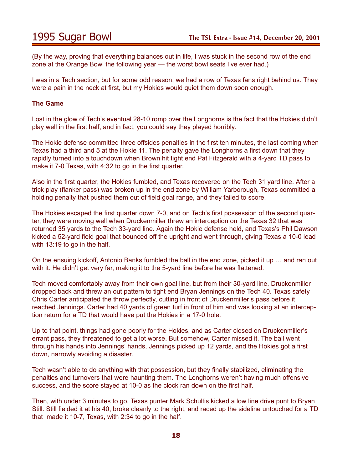(By the way, proving that everything balances out in life, I was stuck in the second row of the end zone at the Orange Bowl the following year — the worst bowl seats I've ever had.)

I was in a Tech section, but for some odd reason, we had a row of Texas fans right behind us. They were a pain in the neck at first, but my Hokies would quiet them down soon enough.

### **The Game**

Lost in the glow of Tech's eventual 28-10 romp over the Longhorns is the fact that the Hokies didn't play well in the first half, and in fact, you could say they played horribly.

The Hokie defense committed three offsides penalties in the first ten minutes, the last coming when Texas had a third and 5 at the Hokie 11. The penalty gave the Longhorns a first down that they rapidly turned into a touchdown when Brown hit tight end Pat Fitzgerald with a 4-yard TD pass to make it 7-0 Texas, with 4:32 to go in the first quarter.

Also in the first quarter, the Hokies fumbled, and Texas recovered on the Tech 31 yard line. After a trick play (flanker pass) was broken up in the end zone by William Yarborough, Texas committed a holding penalty that pushed them out of field goal range, and they failed to score.

The Hokies escaped the first quarter down 7-0, and on Tech's first possession of the second quarter, they were moving well when Druckenmiller threw an interception on the Texas 32 that was returned 35 yards to the Tech 33-yard line. Again the Hokie defense held, and Texas's Phil Dawson kicked a 52-yard field goal that bounced off the upright and went through, giving Texas a 10-0 lead with 13:19 to go in the half.

On the ensuing kickoff, Antonio Banks fumbled the ball in the end zone, picked it up … and ran out with it. He didn't get very far, making it to the 5-yard line before he was flattened.

Tech moved comfortably away from their own goal line, but from their 30-yard line, Druckenmiller dropped back and threw an out pattern to tight end Bryan Jennings on the Tech 40. Texas safety Chris Carter anticipated the throw perfectly, cutting in front of Druckenmiller's pass before it reached Jennings. Carter had 40 yards of green turf in front of him and was looking at an interception return for a TD that would have put the Hokies in a 17-0 hole.

Up to that point, things had gone poorly for the Hokies, and as Carter closed on Druckenmiller's errant pass, they threatened to get a lot worse. But somehow, Carter missed it. The ball went through his hands into Jennings' hands, Jennings picked up 12 yards, and the Hokies got a first down, narrowly avoiding a disaster.

Tech wasn't able to do anything with that possession, but they finally stabilized, eliminating the penalties and turnovers that were haunting them. The Longhorns weren't having much offensive success, and the score stayed at 10-0 as the clock ran down on the first half.

Then, with under 3 minutes to go, Texas punter Mark Schultis kicked a low line drive punt to Bryan Still. Still fielded it at his 40, broke cleanly to the right, and raced up the sideline untouched for a TD that made it 10-7, Texas, with 2:34 to go in the half.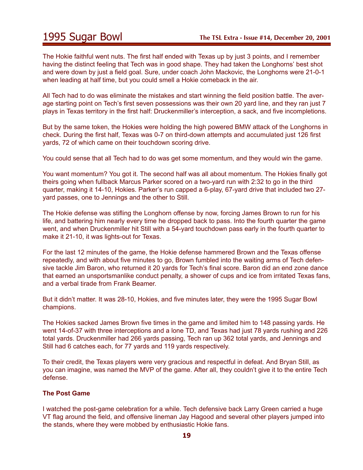The Hokie faithful went nuts. The first half ended with Texas up by just 3 points, and I remember having the distinct feeling that Tech was in good shape. They had taken the Longhorns' best shot and were down by just a field goal. Sure, under coach John Mackovic, the Longhorns were 21-0-1 when leading at half time, but you could smell a Hokie comeback in the air.

All Tech had to do was eliminate the mistakes and start winning the field position battle. The average starting point on Tech's first seven possessions was their own 20 yard line, and they ran just 7 plays in Texas territory in the first half: Druckenmiller's interception, a sack, and five incompletions.

But by the same token, the Hokies were holding the high powered BMW attack of the Longhorns in check. During the first half, Texas was 0-7 on third-down attempts and accumulated just 126 first yards, 72 of which came on their touchdown scoring drive.

You could sense that all Tech had to do was get some momentum, and they would win the game.

You want momentum? You got it. The second half was all about momentum. The Hokies finally got theirs going when fullback Marcus Parker scored on a two-yard run with 2:32 to go in the third quarter, making it 14-10, Hokies. Parker's run capped a 6-play, 67-yard drive that included two 27 yard passes, one to Jennings and the other to Still.

The Hokie defense was stifling the Longhorn offense by now, forcing James Brown to run for his life, and battering him nearly every time he dropped back to pass. Into the fourth quarter the game went, and when Druckenmiller hit Still with a 54-yard touchdown pass early in the fourth quarter to make it 21-10, it was lights-out for Texas.

For the last 12 minutes of the game, the Hokie defense hammered Brown and the Texas offense repeatedly, and with about five minutes to go, Brown fumbled into the waiting arms of Tech defensive tackle Jim Baron, who returned it 20 yards for Tech's final score. Baron did an end zone dance that earned an unsportsmanlike conduct penalty, a shower of cups and ice from irritated Texas fans, and a verbal tirade from Frank Beamer.

But it didn't matter. It was 28-10, Hokies, and five minutes later, they were the 1995 Sugar Bowl champions.

The Hokies sacked James Brown five times in the game and limited him to 148 passing yards. He went 14-of-37 with three interceptions and a lone TD, and Texas had just 78 yards rushing and 226 total yards. Druckenmiller had 266 yards passing, Tech ran up 362 total yards, and Jennings and Still had 6 catches each, for 77 yards and 119 yards respectively.

To their credit, the Texas players were very gracious and respectful in defeat. And Bryan Still, as you can imagine, was named the MVP of the game. After all, they couldn't give it to the entire Tech defense.

#### **The Post Game**

I watched the post-game celebration for a while. Tech defensive back Larry Green carried a huge VT flag around the field, and offensive lineman Jay Hagood and several other players jumped into the stands, where they were mobbed by enthusiastic Hokie fans.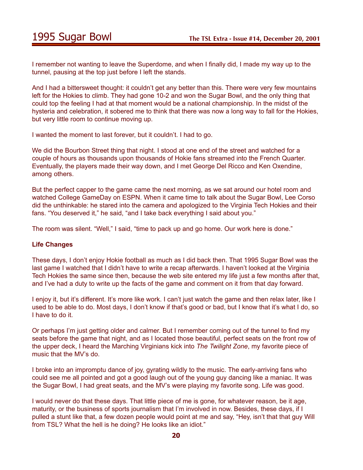I remember not wanting to leave the Superdome, and when I finally did, I made my way up to the tunnel, pausing at the top just before I left the stands.

And I had a bittersweet thought: it couldn't get any better than this. There were very few mountains left for the Hokies to climb. They had gone 10-2 and won the Sugar Bowl, and the only thing that could top the feeling I had at that moment would be a national championship. In the midst of the hysteria and celebration, it sobered me to think that there was now a long way to fall for the Hokies, but very little room to continue moving up.

I wanted the moment to last forever, but it couldn't. I had to go.

We did the Bourbon Street thing that night. I stood at one end of the street and watched for a couple of hours as thousands upon thousands of Hokie fans streamed into the French Quarter. Eventually, the players made their way down, and I met George Del Ricco and Ken Oxendine, among others.

But the perfect capper to the game came the next morning, as we sat around our hotel room and watched College GameDay on ESPN. When it came time to talk about the Sugar Bowl, Lee Corso did the unthinkable: he stared into the camera and apologized to the Virginia Tech Hokies and their fans. "You deserved it," he said, "and I take back everything I said about you."

The room was silent. "Well," I said, "time to pack up and go home. Our work here is done."

#### **Life Changes**

These days, I don't enjoy Hokie football as much as I did back then. That 1995 Sugar Bowl was the last game I watched that I didn't have to write a recap afterwards. I haven't looked at the Virginia Tech Hokies the same since then, because the web site entered my life just a few months after that, and I've had a duty to write up the facts of the game and comment on it from that day forward.

I enjoy it, but it's different. It's more like work. I can't just watch the game and then relax later, like I used to be able to do. Most days, I don't know if that's good or bad, but I know that it's what I do, so I have to do it.

Or perhaps I'm just getting older and calmer. But I remember coming out of the tunnel to find my seats before the game that night, and as I located those beautiful, perfect seats on the front row of the upper deck, I heard the Marching Virginians kick into *The Twilight Zone*, my favorite piece of music that the MV's do.

I broke into an impromptu dance of joy, gyrating wildly to the music. The early-arriving fans who could see me all pointed and got a good laugh out of the young guy dancing like a maniac. It was the Sugar Bowl, I had great seats, and the MV's were playing my favorite song. Life was good.

I would never do that these days. That little piece of me is gone, for whatever reason, be it age, maturity, or the business of sports journalism that I'm involved in now. Besides, these days, if I pulled a stunt like that, a few dozen people would point at me and say, "Hey, isn't that that guy Will from TSL? What the hell is he doing? He looks like an idiot."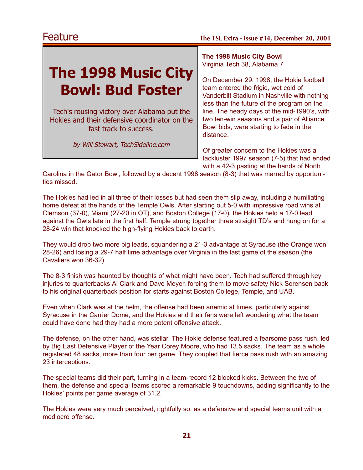# **The 1998 Music City Bowl: Bud Foster**

Tech's rousing victory over Alabama put the Hokies and their defensive coordinator on the fast track to success.

by Will Stewart, TechSideline.com

**The 1998 Music City Bowl** Virginia Tech 38, Alabama 7

On December 29, 1998, the Hokie football team entered the frigid, wet cold of Vanderbilt Stadium in Nashville with nothing less than the future of the program on the line. The heady days of the mid-1990's, with two ten-win seasons and a pair of Alliance Bowl bids, were starting to fade in the distance.

Of greater concern to the Hokies was a lackluster 1997 season (7-5) that had ended with a 42-3 pasting at the hands of North

Carolina in the Gator Bowl, followed by a decent 1998 season (8-3) that was marred by opportunities missed.

The Hokies had led in all three of their losses but had seen them slip away, including a humiliating home defeat at the hands of the Temple Owls. After starting out 5-0 with impressive road wins at Clemson (37-0), Miami (27-20 in OT), and Boston College (17-0), the Hokies held a 17-0 lead against the Owls late in the first half. Temple strung together three straight TD's and hung on for a 28-24 win that knocked the high-flying Hokies back to earth.

They would drop two more big leads, squandering a 21-3 advantage at Syracuse (the Orange won 28-26) and losing a 29-7 half time advantage over Virginia in the last game of the season (the Cavaliers won 36-32).

The 8-3 finish was haunted by thoughts of what might have been. Tech had suffered through key injuries to quarterbacks Al Clark and Dave Meyer, forcing them to move safety Nick Sorensen back to his original quarterback position for starts against Boston College, Temple, and UAB.

Even when Clark was at the helm, the offense had been anemic at times, particularly against Syracuse in the Carrier Dome, and the Hokies and their fans were left wondering what the team could have done had they had a more potent offensive attack.

The defense, on the other hand, was stellar. The Hokie defense featured a fearsome pass rush, led by Big East Defensive Player of the Year Corey Moore, who had 13.5 sacks. The team as a whole registered 48 sacks, more than four per game. They coupled that fierce pass rush with an amazing 23 interceptions.

The special teams did their part, turning in a team-record 12 blocked kicks. Between the two of them, the defense and special teams scored a remarkable 9 touchdowns, adding significantly to the Hokies' points per game average of 31.2.

The Hokies were very much perceived, rightfully so, as a defensive and special teams unit with a mediocre offense.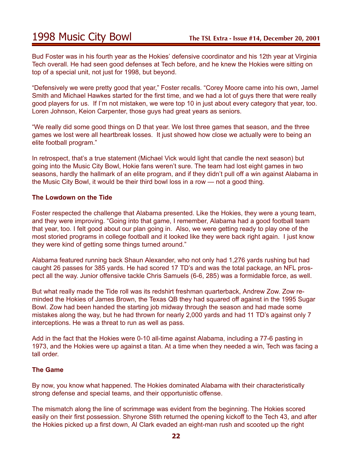## 1998 Music City Bowl **The TSL Extra - Issue #14, December 20, 2001**

Bud Foster was in his fourth year as the Hokies' defensive coordinator and his 12th year at Virginia Tech overall. He had seen good defenses at Tech before, and he knew the Hokies were sitting on top of a special unit, not just for 1998, but beyond.

"Defensively we were pretty good that year," Foster recalls. "Corey Moore came into his own, Jamel Smith and Michael Hawkes started for the first time, and we had a lot of guys there that were really good players for us. If I'm not mistaken, we were top 10 in just about every category that year, too. Loren Johnson, Keion Carpenter, those guys had great years as seniors.

"We really did some good things on D that year. We lost three games that season, and the three games we lost were all heartbreak losses. It just showed how close we actually were to being an elite football program."

In retrospect, that's a true statement (Michael Vick would light that candle the next season) but going into the Music City Bowl, Hokie fans weren't sure. The team had lost eight games in two seasons, hardly the hallmark of an elite program, and if they didn't pull off a win against Alabama in the Music City Bowl, it would be their third bowl loss in a row — not a good thing.

#### **The Lowdown on the Tide**

Foster respected the challenge that Alabama presented. Like the Hokies, they were a young team, and they were improving. "Going into that game, I remember, Alabama had a good football team that year, too. I felt good about our plan going in. Also, we were getting ready to play one of the most storied programs in college football and it looked like they were back right again. I just know they were kind of getting some things turned around."

Alabama featured running back Shaun Alexander, who not only had 1,276 yards rushing but had caught 26 passes for 385 yards. He had scored 17 TD's and was the total package, an NFL prospect all the way. Junior offensive tackle Chris Samuels (6-6, 285) was a formidable force, as well.

But what really made the Tide roll was its redshirt freshman quarterback, Andrew Zow. Zow reminded the Hokies of James Brown, the Texas QB they had squared off against in the 1995 Sugar Bowl. Zow had been handed the starting job midway through the season and had made some mistakes along the way, but he had thrown for nearly 2,000 yards and had 11 TD's against only 7 interceptions. He was a threat to run as well as pass.

Add in the fact that the Hokies were 0-10 all-time against Alabama, including a 77-6 pasting in 1973, and the Hokies were up against a titan. At a time when they needed a win, Tech was facing a tall order.

#### **The Game**

By now, you know what happened. The Hokies dominated Alabama with their characteristically strong defense and special teams, and their opportunistic offense.

The mismatch along the line of scrimmage was evident from the beginning. The Hokies scored easily on their first possession. Shyrone Stith returned the opening kickoff to the Tech 43, and after the Hokies picked up a first down, Al Clark evaded an eight-man rush and scooted up the right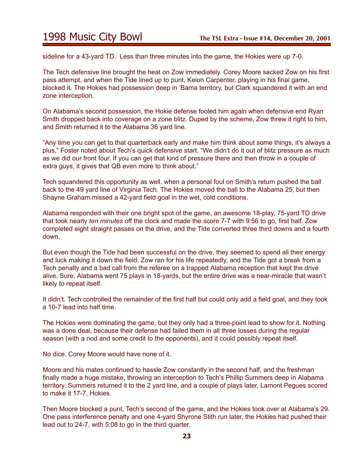## 1998 Music City Bowl **The TSL Extra - Issue #14, December 20, 2001**

sideline for a 43-yard TD. Less than three minutes into the game, the Hokies were up 7-0.

The Tech defensive line brought the heat on Zow immediately. Corey Moore sacked Zow on his first pass attempt, and when the Tide lined up to punt, Keion Carpenter, playing in his final game, blocked it. The Hokies had possession deep in 'Bama territory, but Clark squandered it with an end zone interception.

On Alabama's second possession, the Hokie defense fooled him again when defensive end Ryan Smith dropped back into coverage on a zone blitz. Duped by the scheme, Zow threw it right to him, and Smith returned it to the Alabama 36 yard line.

"Any time you can get to that quarterback early and make him think about some things, it's always a plus," Foster noted about Tech's quick defensive start. "We didn't do it out of blitz pressure as much as we did our front four. If you can get that kind of pressure there and then throw in a couple of extra guys, it gives that QB even more to think about."

Tech squandered this opportunity as well, when a personal foul on Smith's return pushed the ball back to the 49 yard line of Virginia Tech. The Hokies moved the ball to the Alabama 25, but then Shayne Graham missed a 42-yard field goal in the wet, cold conditions.

Alabama responded with their one bright spot of the game, an awesome 18-play, 75-yard TD drive that took nearly *ten minutes* off the clock and made the score 7-7 with 9:56 to go, first half. Zow completed eight straight passes on the drive, and the Tide converted three third downs and a fourth down.

But even though the Tide had been successful on the drive, they seemed to spend all their energy and luck making it down the field. Zow ran for his life repeatedly, and the Tide got a break from a Tech penalty and a bad call from the referee on a trapped Alabama reception that kept the drive alive. Sure, Alabama went 75 plays in 18-yards, but the entire drive was a near-miracle that wasn't likely to repeat itself.

It didn't. Tech controlled the remainder of the first half but could only add a field goal, and they took a 10-7 lead into half time.

The Hokies were dominating the game, but they only had a three-point lead to show for it. Nothing was a done deal, because their defense had failed them in all three losses during the regular season (with a nod and some credit to the opponents), and it could possibly repeat itself.

No dice. Corey Moore would have none of it.

Moore and his mates continued to hassle Zow constantly in the second half, and the freshman finally made a huge mistake, throwing an interception to Tech's Phillip Summers deep in Alabama territory. Summers returned it to the 2 yard line, and a couple of plays later, Lamont Pegues scored to make it 17-7, Hokies.

Then Moore blocked a punt, Tech's second of the game, and the Hokies took over at Alabama's 29. One pass interference penalty and one 4-yard Shyrone Stith run later, the Hokies had pushed their lead out to 24-7, with 5:08 to go in the third quarter.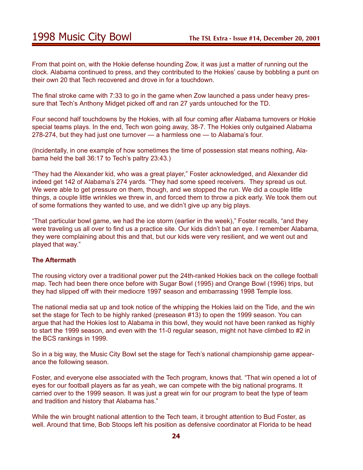From that point on, with the Hokie defense hounding Zow, it was just a matter of running out the clock. Alabama continued to press, and they contributed to the Hokies' cause by bobbling a punt on their own 20 that Tech recovered and drove in for a touchdown.

The final stroke came with 7:33 to go in the game when Zow launched a pass under heavy pressure that Tech's Anthony Midget picked off and ran 27 yards untouched for the TD.

Four second half touchdowns by the Hokies, with all four coming after Alabama turnovers or Hokie special teams plays. In the end, Tech won going away, 38-7. The Hokies only outgained Alabama 278-274, but they had just one turnover — a harmless one — to Alabama's four.

(Incidentally, in one example of how sometimes the time of possession stat means nothing, Alabama held the ball 36:17 to Tech's paltry 23:43.)

"They had the Alexander kid, who was a great player," Foster acknowledged, and Alexander did indeed get 142 of Alabama's 274 yards. "They had some speed receivers. They spread us out. We were able to get pressure on them, though, and we stopped the run. We did a couple little things, a couple little wrinkles we threw in, and forced them to throw a pick early. We took them out of some formations they wanted to use, and we didn't give up any big plays.

"That particular bowl game, we had the ice storm (earlier in the week)," Foster recalls, "and they were traveling us all over to find us a practice site. Our kids didn't bat an eye. I remember Alabama, they were complaining about this and that, but our kids were very resilient, and we went out and played that way."

### **The Aftermath**

The rousing victory over a traditional power put the 24th-ranked Hokies back on the college football map. Tech had been there once before with Sugar Bowl (1995) and Orange Bowl (1996) trips, but they had slipped off with their mediocre 1997 season and embarrassing 1998 Temple loss.

The national media sat up and took notice of the whipping the Hokies laid on the Tide, and the win set the stage for Tech to be highly ranked (preseason #13) to open the 1999 season. You can argue that had the Hokies lost to Alabama in this bowl, they would not have been ranked as highly to start the 1999 season, and even with the 11-0 regular season, might not have climbed to #2 in the BCS rankings in 1999.

So in a big way, the Music City Bowl set the stage for Tech's national championship game appearance the following season.

Foster, and everyone else associated with the Tech program, knows that. "That win opened a lot of eyes for our football players as far as yeah, we can compete with the big national programs. It carried over to the 1999 season. It was just a great win for our program to beat the type of team and tradition and history that Alabama has."

While the win brought national attention to the Tech team, it brought attention to Bud Foster, as well. Around that time, Bob Stoops left his position as defensive coordinator at Florida to be head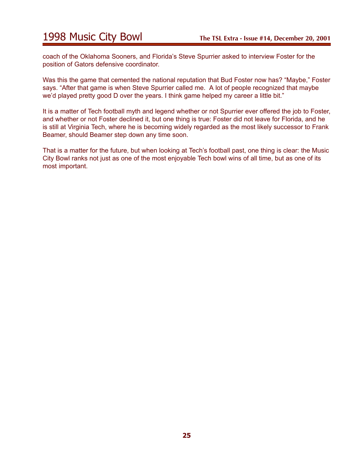## 1998 Music City Bowl **The TSL Extra - Issue #14, December 20, 2001**

coach of the Oklahoma Sooners, and Florida's Steve Spurrier asked to interview Foster for the position of Gators defensive coordinator.

Was this the game that cemented the national reputation that Bud Foster now has? "Maybe," Foster says. "After that game is when Steve Spurrier called me. A lot of people recognized that maybe we'd played pretty good D over the years. I think game helped my career a little bit."

It is a matter of Tech football myth and legend whether or not Spurrier ever offered the job to Foster, and whether or not Foster declined it, but one thing is true: Foster did not leave for Florida, and he is still at Virginia Tech, where he is becoming widely regarded as the most likely successor to Frank Beamer, should Beamer step down any time soon.

That is a matter for the future, but when looking at Tech's football past, one thing is clear: the Music City Bowl ranks not just as one of the most enjoyable Tech bowl wins of all time, but as one of its most important.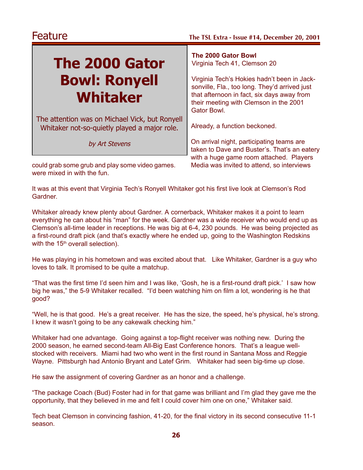# **The 2000 Gator Bowl: Ronyell Whitaker**

The attention was on Michael Vick, but Ronyell Whitaker not-so-quietly played a major role.

by Art Stevens

could grab some grub and play some video games. Media was invited to attend, so interviews were mixed in with the fun.

**The 2000 Gator Bowl** Virginia Tech 41, Clemson 20

Virginia Tech's Hokies hadn't been in Jacksonville, Fla., too long. They'd arrived just that afternoon in fact, six days away from their meeting with Clemson in the 2001 Gator Bowl.

Already, a function beckoned.

On arrival night, participating teams are taken to Dave and Buster's. That's an eatery with a huge game room attached. Players

It was at this event that Virginia Tech's Ronyell Whitaker got his first live look at Clemson's Rod Gardner.

Whitaker already knew plenty about Gardner. A cornerback, Whitaker makes it a point to learn everything he can about his "man" for the week. Gardner was a wide receiver who would end up as Clemson's all-time leader in receptions. He was big at 6-4, 230 pounds. He was being projected as a first-round draft pick (and that's exactly where he ended up, going to the Washington Redskins with the 15<sup>th</sup> overall selection).

He was playing in his hometown and was excited about that. Like Whitaker, Gardner is a guy who loves to talk. It promised to be quite a matchup.

"That was the first time I'd seen him and I was like, 'Gosh, he is a first-round draft pick.' I saw how big he was," the 5-9 Whitaker recalled. "I'd been watching him on film a lot, wondering is he that good?

"Well, he is that good. He's a great receiver. He has the size, the speed, he's physical, he's strong. I knew it wasn't going to be any cakewalk checking him."

Whitaker had one advantage. Going against a top-flight receiver was nothing new. During the 2000 season, he earned second-team All-Big East Conference honors. That's a league wellstocked with receivers. Miami had two who went in the first round in Santana Moss and Reggie Wayne. Pittsburgh had Antonio Bryant and Latef Grim. Whitaker had seen big-time up close.

He saw the assignment of covering Gardner as an honor and a challenge.

"The package Coach (Bud) Foster had in for that game was brilliant and I'm glad they gave me the opportunity, that they believed in me and felt I could cover him one on one," Whitaker said.

Tech beat Clemson in convincing fashion, 41-20, for the final victory in its second consecutive 11-1 season.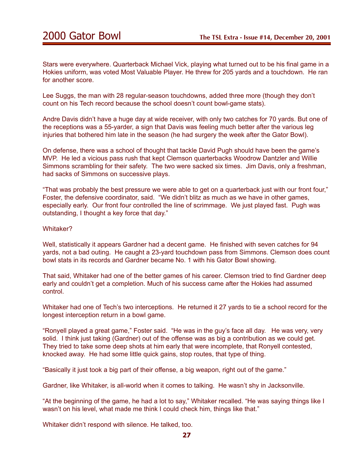Stars were everywhere. Quarterback Michael Vick, playing what turned out to be his final game in a Hokies uniform, was voted Most Valuable Player. He threw for 205 yards and a touchdown. He ran for another score.

Lee Suggs, the man with 28 regular-season touchdowns, added three more (though they don't count on his Tech record because the school doesn't count bowl-game stats).

Andre Davis didn't have a huge day at wide receiver, with only two catches for 70 yards. But one of the receptions was a 55-yarder, a sign that Davis was feeling much better after the various leg injuries that bothered him late in the season (he had surgery the week after the Gator Bowl).

On defense, there was a school of thought that tackle David Pugh should have been the game's MVP. He led a vicious pass rush that kept Clemson quarterbacks Woodrow Dantzler and Willie Simmons scrambling for their safety. The two were sacked six times. Jim Davis, only a freshman, had sacks of Simmons on successive plays.

"That was probably the best pressure we were able to get on a quarterback just with our front four," Foster, the defensive coordinator, said. "We didn't blitz as much as we have in other games, especially early. Our front four controlled the line of scrimmage. We just played fast. Pugh was outstanding, I thought a key force that day."

#### Whitaker?

Well, statistically it appears Gardner had a decent game. He finished with seven catches for 94 yards, not a bad outing. He caught a 23-yard touchdown pass from Simmons. Clemson does count bowl stats in its records and Gardner became No. 1 with his Gator Bowl showing.

That said, Whitaker had one of the better games of his career. Clemson tried to find Gardner deep early and couldn't get a completion. Much of his success came after the Hokies had assumed control.

Whitaker had one of Tech's two interceptions. He returned it 27 yards to tie a school record for the longest interception return in a bowl game.

"Ronyell played a great game," Foster said. "He was in the guy's face all day. He was very, very solid. I think just taking (Gardner) out of the offense was as big a contribution as we could get. They tried to take some deep shots at him early that were incomplete, that Ronyell contested, knocked away. He had some little quick gains, stop routes, that type of thing.

"Basically it just took a big part of their offense, a big weapon, right out of the game."

Gardner, like Whitaker, is all-world when it comes to talking. He wasn't shy in Jacksonville.

"At the beginning of the game, he had a lot to say," Whitaker recalled. "He was saying things like I wasn't on his level, what made me think I could check him, things like that."

Whitaker didn't respond with silence. He talked, too.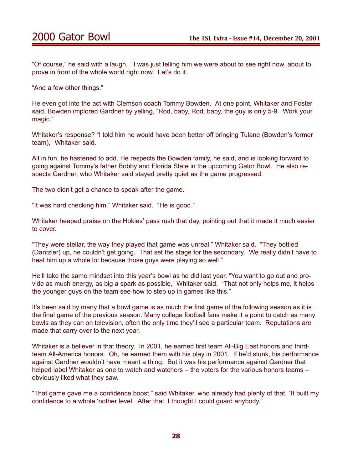"Of course," he said with a laugh. "I was just telling him we were about to see right now, about to prove in front of the whole world right now. Let's do it.

"And a few other things."

He even got into the act with Clemson coach Tommy Bowden. At one point, Whitaker and Foster said, Bowden implored Gardner by yelling, "Rod, baby, Rod, baby, the guy is only 5-9. Work your magic."

Whitaker's response? "I told him he would have been better off bringing Tulane (Bowden's former team)," Whitaker said.

All in fun, he hastened to add. He respects the Bowden family, he said, and is looking forward to going against Tommy's father Bobby and Florida State in the upcoming Gator Bowl. He also respects Gardner, who Whitaker said stayed pretty quiet as the game progressed.

The two didn't get a chance to speak after the game.

"It was hard checking him," Whitaker said. "He is good."

Whitaker heaped praise on the Hokies' pass rush that day, pointing out that it made it much easier to cover.

"They were stellar, the way they played that game was unreal," Whitaker said. "They bottled (Dantzler) up, he couldn't get going. That set the stage for the secondary. We really didn't have to heat him up a whole lot because those guys were playing so well."

He'll take the same mindset into this year's bowl as he did last year. "You want to go out and provide as much energy, as big a spark as possible," Whitaker said. "That not only helps me, it helps the younger guys on the team see how to step up in games like this."

It's been said by many that a bowl game is as much the first game of the following season as it is the final game of the previous season. Many college football fans make it a point to catch as many bowls as they can on television, often the only time they'll see a particular team. Reputations are made that carry over to the next year.

Whitaker is a believer in that theory. In 2001, he earned first team All-Big East honors and thirdteam All-America honors. Oh, he earned them with his play in 2001. If he'd stunk, his performance against Gardner wouldn't have meant a thing. But it was his performance against Gardner that helped label Whitaker as one to watch and watchers – the voters for the various honors teams – obviously liked what they saw.

"That game gave me a confidence boost," said Whitaker, who already had plenty of that. "It built my confidence to a whole 'nother level. After that, I thought I could guard anybody."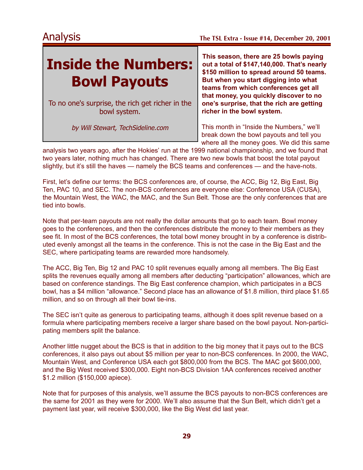# **Inside the Numbers: Bowl Payouts**

To no one's surprise, the rich get richer in the bowl system.

by Will Stewart, TechSideline.com

**This season, there are 25 bowls paying out a total of \$147,140,000. That's nearly \$150 million to spread around 50 teams. But when you start digging into what teams from which conferences get all that money, you quickly discover to no one's surprise, that the rich are getting richer in the bowl system.**

This month in "Inside the Numbers," we'll break down the bowl payouts and tell you where all the money goes. We did this same

analysis two years ago, after the Hokies' run at the 1999 national championship, and we found that two years later, nothing much has changed. There are two new bowls that boost the total payout slightly, but it's still the haves — namely the BCS teams and conferences — and the have-nots.

First, let's define our terms: the BCS conferences are, of course, the ACC, Big 12, Big East, Big Ten, PAC 10, and SEC. The non-BCS conferences are everyone else: Conference USA (CUSA), the Mountain West, the WAC, the MAC, and the Sun Belt. Those are the only conferences that are tied into bowls.

Note that per-team payouts are not really the dollar amounts that go to each team. Bowl money goes to the conferences, and then the conferences distribute the money to their members as they see fit. In most of the BCS conferences, the total bowl money brought in by a conference is distributed evenly amongst all the teams in the conference. This is not the case in the Big East and the SEC, where participating teams are rewarded more handsomely.

The ACC, Big Ten, Big 12 and PAC 10 split revenues equally among all members. The Big East splits the revenues equally among all members after deducting "participation" allowances, which are based on conference standings. The Big East conference champion, which participates in a BCS bowl, has a \$4 million "allowance." Second place has an allowance of \$1.8 million, third place \$1.65 million, and so on through all their bowl tie-ins.

The SEC isn't quite as generous to participating teams, although it does split revenue based on a formula where participating members receive a larger share based on the bowl payout. Non-participating members split the balance.

Another little nugget about the BCS is that in addition to the big money that it pays out to the BCS conferences, it also pays out about \$5 million per year to non-BCS conferences. In 2000, the WAC, Mountain West, and Conference USA each got \$800,000 from the BCS. The MAC got \$600,000, and the Big West received \$300,000. Eight non-BCS Division 1AA conferences received another \$1.2 million (\$150,000 apiece).

Note that for purposes of this analysis, we'll assume the BCS payouts to non-BCS conferences are the same for 2001 as they were for 2000. We'll also assume that the Sun Belt, which didn't get a payment last year, will receive \$300,000, like the Big West did last year.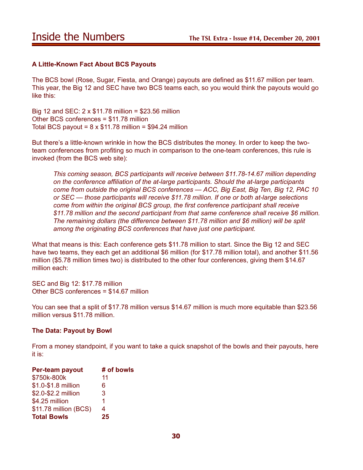### **A Little-Known Fact About BCS Payouts**

The BCS bowl (Rose, Sugar, Fiesta, and Orange) payouts are defined as \$11.67 million per team. This year, the Big 12 and SEC have two BCS teams each, so you would think the payouts would go like this:

Big 12 and SEC: 2 x \$11.78 million = \$23.56 million Other BCS conferences = \$11.78 million Total BCS payout =  $8 \times $11.78$  million = \$94.24 million

But there's a little-known wrinkle in how the BCS distributes the money. In order to keep the twoteam conferences from profiting so much in comparison to the one-team conferences, this rule is invoked (from the BCS web site):

*This coming season, BCS participants will receive between \$11.78-14.67 million depending on the conference affiliation of the at-large participants. Should the at-large participants come from outside the original BCS conferences — ACC, Big East, Big Ten, Big 12, PAC 10 or SEC — those participants will receive \$11.78 million. If one or both at-large selections come from within the original BCS group, the first conference participant shall receive \$11.78 million and the second participant from that same conference shall receive \$6 million. The remaining dollars (the difference between \$11.78 million and \$6 million) will be split among the originating BCS conferences that have just one participant.*

What that means is this: Each conference gets \$11.78 million to start. Since the Big 12 and SEC have two teams, they each get an additional \$6 million (for \$17.78 million total), and another \$11.56 million (\$5.78 million times two) is distributed to the other four conferences, giving them \$14.67 million each:

SEC and Big 12: \$17.78 million Other BCS conferences = \$14.67 million

You can see that a split of \$17.78 million versus \$14.67 million is much more equitable than \$23.56 million versus \$11.78 million.

#### **The Data: Payout by Bowl**

From a money standpoint, if you want to take a quick snapshot of the bowls and their payouts, here it is:

| Per-team payout       | # of bowls |
|-----------------------|------------|
| \$750k-800k           | 11         |
| \$1.0-\$1.8 million   | 6          |
| \$2.0-\$2.2 million   | 3          |
| \$4.25 million        | 1          |
| \$11.78 million (BCS) | 4          |
| <b>Total Bowls</b>    | 25         |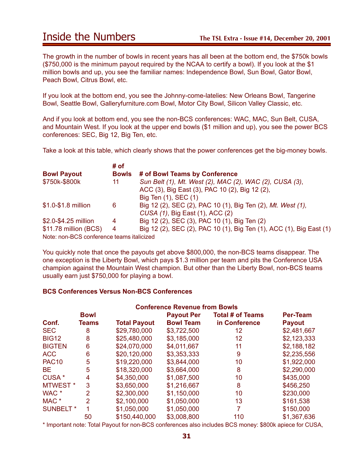## Inside the Numbers **The TSL Extra - Issue #14, December 20, 2001**

The growth in the number of bowls in recent years has all been at the bottom end, the \$750k bowls (\$750,000 is the minimum payout required by the NCAA to certify a bowl). If you look at the \$1 million bowls and up, you see the familiar names: Independence Bowl, Sun Bowl, Gator Bowl, Peach Bowl, Citrus Bowl, etc.

If you look at the bottom end, you see the Johnny-come-latelies: New Orleans Bowl, Tangerine Bowl, Seattle Bowl, Galleryfurniture.com Bowl, Motor City Bowl, Silicon Valley Classic, etc.

And if you look at bottom end, you see the non-BCS conferences: WAC, MAC, Sun Belt, CUSA, and Mountain West. If you look at the upper end bowls (\$1 million and up), you see the power BCS conferences: SEC, Big 12, Big Ten, etc.

Take a look at this table, which clearly shows that the power conferences get the big-money bowls.

|                                           | # of         |                                                                     |
|-------------------------------------------|--------------|---------------------------------------------------------------------|
| <b>Bowl Payout</b>                        | <b>Bowls</b> | # of Bowl Teams by Conference                                       |
| \$750k-\$800k                             | 11           | Sun Belt (1), Mt. West (2), MAC (2), WAC (2), CUSA (3),             |
|                                           |              | ACC (3), Big East (3), PAC 10 (2), Big 12 (2),                      |
|                                           |              | Big Ten (1), SEC (1)                                                |
| \$1.0-\$1.8 million                       | 6            | Big 12 (2), SEC (2), PAC 10 (1), Big Ten (2), Mt. West (1),         |
|                                           |              | CUSA (1), Big East (1), ACC (2)                                     |
| \$2.0-\$4.25 million                      | 4            | Big 12 (2), SEC (3), PAC 10 (1), Big Ten (2)                        |
| \$11.78 million (BCS)                     | 4            | Big 12 (2), SEC (2), PAC 10 (1), Big Ten (1), ACC (1), Big East (1) |
| Note: non-BCS conference teams italicized |              |                                                                     |

Note: non-BCS conference teams italicized

You quickly note that once the payouts get above \$800,000, the non-BCS teams disappear. The one exception is the Liberty Bowl, which pays \$1.3 million per team and pits the Conference USA champion against the Mountain West champion. But other than the Liberty Bowl, non-BCS teams usually earn just \$750,000 for playing a bowl.

#### **BCS Conferences Versus Non-BCS Conferences**

| <b>Conference Revenue from Bowls</b> |                |                     |                   |                         |                 |
|--------------------------------------|----------------|---------------------|-------------------|-------------------------|-----------------|
|                                      | <b>Bowl</b>    |                     | <b>Payout Per</b> | <b>Total # of Teams</b> | <b>Per-Team</b> |
| Conf.                                | Teams          | <b>Total Payout</b> | <b>Bowl Team</b>  | in Conference           | <b>Payout</b>   |
| <b>SEC</b>                           | 8              | \$29,780,000        | \$3,722,500       | 12                      | \$2,481,667     |
| <b>BIG12</b>                         | 8              | \$25,480,000        | \$3,185,000       | 12 <sub>2</sub>         | \$2,123,333     |
| <b>BIGTEN</b>                        | 6              | \$24,070,000        | \$4,011,667       | 11                      | \$2,188,182     |
| <b>ACC</b>                           | 6              | \$20,120,000        | \$3,353,333       | 9                       | \$2,235,556     |
| <b>PAC10</b>                         | 5              | \$19,220,000        | \$3,844,000       | 10                      | \$1,922,000     |
| <b>BE</b>                            | 5              | \$18,320,000        | \$3,664,000       | 8                       | \$2,290,000     |
| CUSA *                               | 4              | \$4,350,000         | \$1,087,500       | 10                      | \$435,000       |
| MTWEST <sup>*</sup>                  | 3              | \$3,650,000         | \$1,216,667       | 8                       | \$456,250       |
| WAC <sup>*</sup>                     | $\overline{2}$ | \$2,300,000         | \$1,150,000       | 10                      | \$230,000       |
| MAC <sup>*</sup>                     | 2              | \$2,100,000         | \$1,050,000       | 13                      | \$161,538       |
| <b>SUNBELT</b> *                     |                | \$1,050,000         | \$1,050,000       |                         | \$150,000       |
|                                      | 50             | \$150,440,000       | \$3,008,800       | 110                     | \$1,367,636     |

\* Important note: Total Payout for non-BCS conferences also includes BCS money: \$800k apiece for CUSA,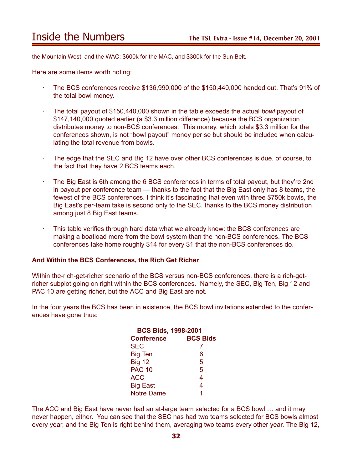## Inside the Numbers **The TSL Extra - Issue #14, December 20, 2001**

the Mountain West, and the WAC; \$600k for the MAC, and \$300k for the Sun Belt.

Here are some items worth noting:

- · The BCS conferences receive \$136,990,000 of the \$150,440,000 handed out. That's 91% of the total bowl money.
- · The total payout of \$150,440,000 shown in the table exceeds the actual *bowl* payout of \$147,140,000 quoted earlier (a \$3.3 million difference) because the BCS organization distributes money to non-BCS conferences. This money, which totals \$3.3 million for the conferences shown, is not "bowl payout" money per se but should be included when calculating the total revenue from bowls.
- The edge that the SEC and Big 12 have over other BCS conferences is due, of course, to the fact that they have 2 BCS teams each.
- · The Big East is 6th among the 6 BCS conferences in terms of total payout, but they're 2nd in payout per conference team — thanks to the fact that the Big East only has 8 teams, the fewest of the BCS conferences. I think it's fascinating that even with three \$750k bowls, the Big East's per-team take is second only to the SEC, thanks to the BCS money distribution among just 8 Big East teams.
- This table verifies through hard data what we already knew: the BCS conferences are making a boatload more from the bowl system than the non-BCS conferences. The BCS conferences take home roughly \$14 for every \$1 that the non-BCS conferences do.

#### **And Within the BCS Conferences, the Rich Get Richer**

Within the-rich-get-richer scenario of the BCS versus non-BCS conferences, there is a rich-getricher subplot going on right within the BCS conferences. Namely, the SEC, Big Ten, Big 12 and PAC 10 are getting richer, but the ACC and Big East are not.

In the four years the BCS has been in existence, the BCS bowl invitations extended to the conferences have gone thus:

|                   | <b>BCS Bids, 1998-2001</b> |  |  |
|-------------------|----------------------------|--|--|
| <b>Conference</b> | <b>BCS Bids</b>            |  |  |
| <b>SEC</b>        |                            |  |  |
| <b>Big Ten</b>    | 6                          |  |  |
| <b>Big 12</b>     | 5                          |  |  |
| <b>PAC 10</b>     | 5                          |  |  |
| <b>ACC</b>        | 4                          |  |  |
| <b>Big East</b>   | 4                          |  |  |
| <b>Notre Dame</b> | 1                          |  |  |

The ACC and Big East have never had an at-large team selected for a BCS bowl … and it may never happen, either. You can see that the SEC has had two teams selected for BCS bowls almost every year, and the Big Ten is right behind them, averaging two teams every other year. The Big 12,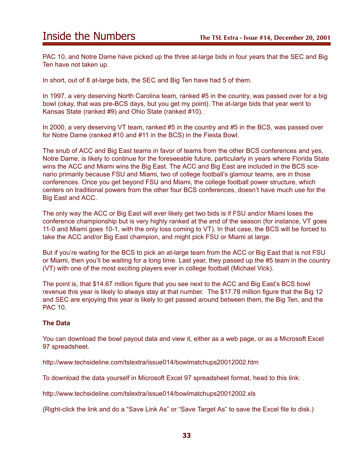## Inside the Numbers **The TSL Extra - Issue #14, December 20, 2001**

PAC 10, and Notre Dame have picked up the three at-large bids in four years that the SEC and Big Ten have not taken up.

In short, out of 8 at-large bids, the SEC and Big Ten have had 5 of them.

In 1997, a very deserving North Carolina team, ranked #5 in the country, was passed over for a big bowl (okay, that was pre-BCS days, but you get my point). The at-large bids that year went to Kansas State (ranked #9) and Ohio State (ranked #10).

In 2000, a very deserving VT team, ranked #5 in the country and #5 in the BCS, was passed over for Notre Dame (ranked #10 and #11 in the BCS) in the Fiesta Bowl.

The snub of ACC and Big East teams in favor of teams from the other BCS conferences and yes, Notre Dame, is likely to continue for the foreseeable future, particularly in years where Florida State wins the ACC and Miami wins the Big East. The ACC and Big East are included in the BCS scenario primarily because FSU and Miami, two of college football's glamour teams, are in those conferences. Once you get beyond FSU and Miami, the college football power structure, which centers on traditional powers from the other four BCS conferences, doesn't have much use for the Big East and ACC.

The only way the ACC or Big East will ever likely get two bids is if FSU and/or Miami loses the conference championship but is very highly ranked at the end of the season (for instance, VT goes 11-0 and Miami goes 10-1, with the only loss coming to VT). In that case, the BCS will be forced to take the ACC and/or Big East champion, and might pick FSU or Miami at large.

But if you're waiting for the BCS to pick an at-large team from the ACC or Big East that is not FSU or Miami, then you'll be waiting for a long time. Last year, they passed up the #5 team in the country (VT) with one of the most exciting players ever in college football (Michael Vick).

The point is, that \$14.67 million figure that you see next to the ACC and Big East's BCS bowl revenue this year is likely to always stay at that number. The \$17.78 million figure that the Big 12 and SEC are enjoying this year is likely to get passed around between them, the Big Ten, and the PAC 10.

### **The Data**

You can download the bowl payout data and view it, either as a web page, or as a Microsoft Excel 97 spreadsheet.

http://www.techsideline.com/tslextra/issue014/bowlmatchups20012002.htm

To download the data yourself in Microsoft Excel 97 spreadsheet format, head to this link:

http://www.techsideline.com/tslextra/issue014/bowlmatchups20012002.xls

(Right-click the link and do a "Save Link As" or "Save Target As" to save the Excel file to disk.)